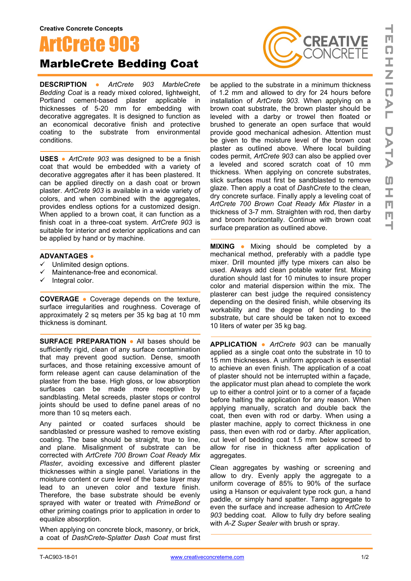

## MarbleCrete Bedding Coat

**DESCRIPTION ●** *ArtCrete 903 MarbleCrete Bedding Coat* is a ready mixed colored, lightweight, Portland cement-based plaster applicable in thicknesses of 5-20 mm for embedding with decorative aggregates. It is designed to function as an economical decorative finish and protective coating to the substrate from environmental conditions.

**USES ●** *ArtCrete 903* was designed to be a finish coat that would be embedded with a variety of decorative aggregates after it has been plastered. It can be applied directly on a dash coat or brown plaster. *ArtCrete 903* is available in a wide variety of colors, and when combined with the aggregates, provides endless options for a customized design. When applied to a brown coat, it can function as a finish coat in a three-coat system. *ArtCrete 903* is suitable for interior and exterior applications and can be applied by hand or by machine.

## **ADVANTAGES ●**

- $\checkmark$  Unlimited design options.
- $\checkmark$  Maintenance-free and economical.
- $\checkmark$  Integral color.

**COVERAGE ●** Coverage depends on the texture, surface irregularities and roughness. Coverage of approximately 2 sq meters per 35 kg bag at 10 mm thickness is dominant.

**SURFACE PREPARATION ●** All bases should be sufficiently rigid, clean of any surface contamination that may prevent good suction. Dense, smooth surfaces, and those retaining excessive amount of form release agent can cause delamination of the plaster from the base. High gloss, or low absorption surfaces can be made more receptive by sandblasting. Metal screeds, plaster stops or control joints should be used to define panel areas of no more than 10 sq meters each.

Any painted or coated surfaces should be sandblasted or pressure washed to remove existing coating. The base should be straight, true to line, and plane. Misalignment of substrate can be corrected with *ArtCrete 700 Brown Coat Ready Mix Plaster*, avoiding excessive and different plaster thicknesses within a single panel. Variations in the moisture content or cure level of the base layer may lead to an uneven color and texture finish. Therefore, the base substrate should be evenly sprayed with water or treated with *PrimeBond* or other priming coatings prior to application in order to equalize absorption.

When applying on concrete block, masonry, or brick, a coat of *DashCrete*-*Splatter Dash Coat* must first



be applied to the substrate in a minimum thickness of 1.2 mm and allowed to dry for 24 hours before installation of *ArtCrete 903*. When applying on a brown coat substrate, the brown plaster should be leveled with a darby or trowel then floated or brushed to generate an open surface that would provide good mechanical adhesion. Attention must be given to the moisture level of the brown coat plaster as outlined above. Where local building codes permit, *ArtCrete 903* can also be applied over a leveled and scored scratch coat of 10 mm thickness. When applying on concrete substrates, slick surfaces must first be sandblasted to remove glaze. Then apply a coat of *DashCrete* to the clean, dry concrete surface. Finally apply a leveling coat of *ArtCrete 700 Brown Coat Ready Mix Plaster* in a thickness of 3-7 mm. Straighten with rod, then darby and broom horizontally. Continue with brown coat surface preparation as outlined above.

**MIXING ●** Mixing should be completed by a mechanical method, preferably with a paddle type mixer. Drill mounted jiffy type mixers can also be used. Always add clean potable water first. Mixing duration should last for 10 minutes to insure proper color and material dispersion within the mix. The plasterer can best judge the required consistency depending on the desired finish, while observing its workability and the degree of bonding to the substrate, but care should be taken not to exceed 10 liters of water per 35 kg bag.

**APPLICATION ●** *ArtCrete 903* can be manually applied as a single coat onto the substrate in 10 to 15 mm thicknesses. A uniform approach is essential to achieve an even finish. The application of a coat of plaster should not be interrupted within a façade, the applicator must plan ahead to complete the work up to either a control joint or to a corner of a façade before halting the application for any reason. When applying manually, scratch and double back the coat, then even with rod or darby. When using a plaster machine, apply to correct thickness in one pass, then even with rod or darby. After application, cut level of bedding coat 1.5 mm below screed to allow for rise in thickness after application of aggregates.

Clean aggregates by washing or screening and allow to dry. Evenly apply the aggregate to a uniform coverage of 85% to 90% of the surface using a Hanson or equivalent type rock gun, a hand paddle, or simply hand spatter. Tamp aggregate to even the surface and increase adhesion to *ArtCrete 903* bedding coat. Allow to fully dry before sealing with *A-Z Super Sealer* with brush or spray.